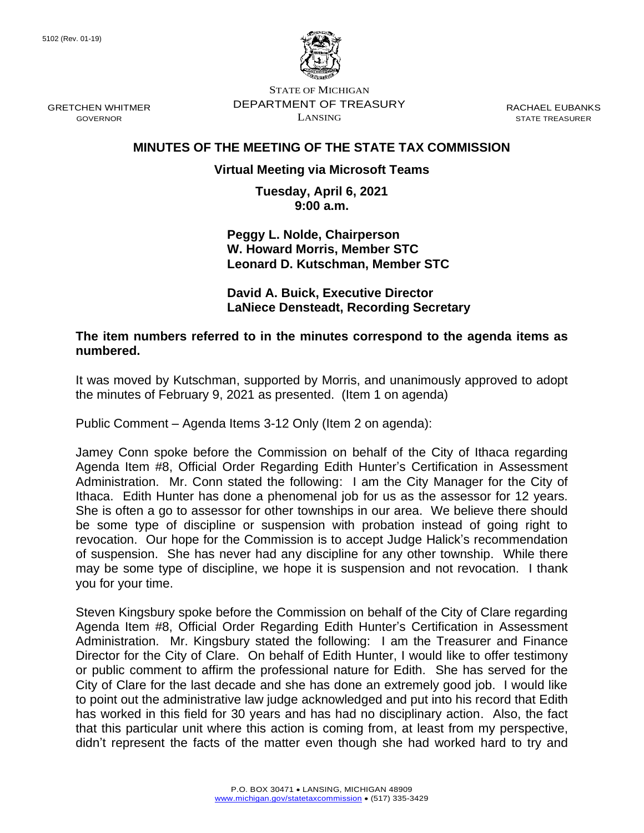

STATE OF MICHIGAN DEPARTMENT OF TREASURY LANSING

RACHAEL EUBANKS STATE TREASURER

## **MINUTES OF THE MEETING OF THE STATE TAX COMMISSION**

## **Virtual Meeting via Microsoft Teams**

**Tuesday, April 6, 2021 9:00 a.m.**

**Peggy L. Nolde, Chairperson W. Howard Morris, Member STC Leonard D. Kutschman, Member STC**

**David A. Buick, Executive Director LaNiece Densteadt, Recording Secretary**

**The item numbers referred to in the minutes correspond to the agenda items as numbered.**

It was moved by Kutschman, supported by Morris, and unanimously approved to adopt the minutes of February 9, 2021 as presented. (Item 1 on agenda)

Public Comment – Agenda Items 3-12 Only (Item 2 on agenda):

Jamey Conn spoke before the Commission on behalf of the City of Ithaca regarding Agenda Item #8, Official Order Regarding Edith Hunter's Certification in Assessment Administration. Mr. Conn stated the following: I am the City Manager for the City of Ithaca. Edith Hunter has done a phenomenal job for us as the assessor for 12 years. She is often a go to assessor for other townships in our area. We believe there should be some type of discipline or suspension with probation instead of going right to revocation. Our hope for the Commission is to accept Judge Halick's recommendation of suspension. She has never had any discipline for any other township. While there may be some type of discipline, we hope it is suspension and not revocation. I thank you for your time.

Steven Kingsbury spoke before the Commission on behalf of the City of Clare regarding Agenda Item #8, Official Order Regarding Edith Hunter's Certification in Assessment Administration. Mr. Kingsbury stated the following: I am the Treasurer and Finance Director for the City of Clare. On behalf of Edith Hunter, I would like to offer testimony or public comment to affirm the professional nature for Edith. She has served for the City of Clare for the last decade and she has done an extremely good job. I would like to point out the administrative law judge acknowledged and put into his record that Edith has worked in this field for 30 years and has had no disciplinary action. Also, the fact that this particular unit where this action is coming from, at least from my perspective, didn't represent the facts of the matter even though she had worked hard to try and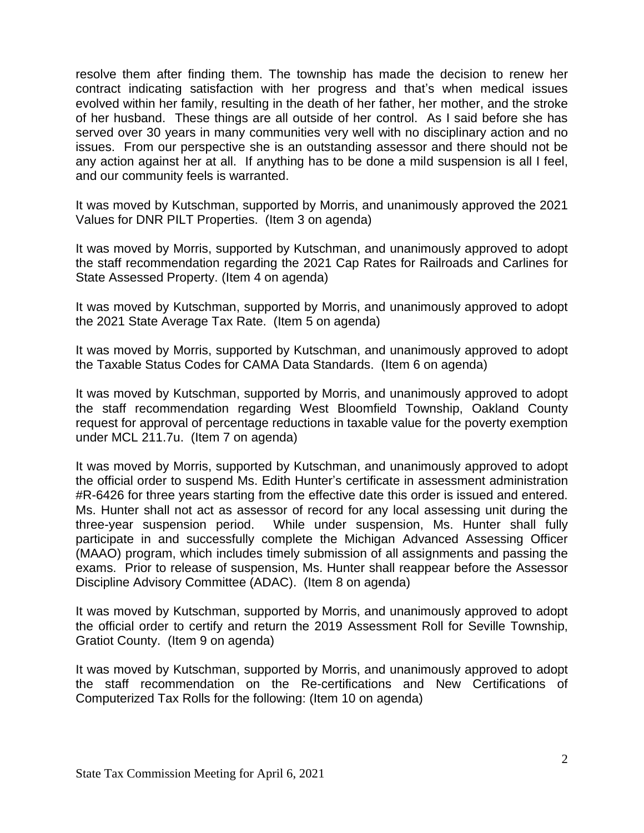resolve them after finding them. The township has made the decision to renew her contract indicating satisfaction with her progress and that's when medical issues evolved within her family, resulting in the death of her father, her mother, and the stroke of her husband. These things are all outside of her control. As I said before she has served over 30 years in many communities very well with no disciplinary action and no issues. From our perspective she is an outstanding assessor and there should not be any action against her at all. If anything has to be done a mild suspension is all I feel, and our community feels is warranted.

It was moved by Kutschman, supported by Morris, and unanimously approved the 2021 Values for DNR PILT Properties. (Item 3 on agenda)

It was moved by Morris, supported by Kutschman, and unanimously approved to adopt the staff recommendation regarding the 2021 Cap Rates for Railroads and Carlines for State Assessed Property. (Item 4 on agenda)

It was moved by Kutschman, supported by Morris, and unanimously approved to adopt the 2021 State Average Tax Rate. (Item 5 on agenda)

It was moved by Morris, supported by Kutschman, and unanimously approved to adopt the Taxable Status Codes for CAMA Data Standards. (Item 6 on agenda)

It was moved by Kutschman, supported by Morris, and unanimously approved to adopt the staff recommendation regarding West Bloomfield Township, Oakland County request for approval of percentage reductions in taxable value for the poverty exemption under MCL 211.7u. (Item 7 on agenda)

It was moved by Morris, supported by Kutschman, and unanimously approved to adopt the official order to suspend Ms. Edith Hunter's certificate in assessment administration #R-6426 for three years starting from the effective date this order is issued and entered. Ms. Hunter shall not act as assessor of record for any local assessing unit during the three-year suspension period. While under suspension, Ms. Hunter shall fully participate in and successfully complete the Michigan Advanced Assessing Officer (MAAO) program, which includes timely submission of all assignments and passing the exams. Prior to release of suspension, Ms. Hunter shall reappear before the Assessor Discipline Advisory Committee (ADAC). (Item 8 on agenda)

It was moved by Kutschman, supported by Morris, and unanimously approved to adopt the official order to certify and return the 2019 Assessment Roll for Seville Township, Gratiot County. (Item 9 on agenda)

It was moved by Kutschman, supported by Morris, and unanimously approved to adopt the staff recommendation on the Re-certifications and New Certifications of Computerized Tax Rolls for the following: (Item 10 on agenda)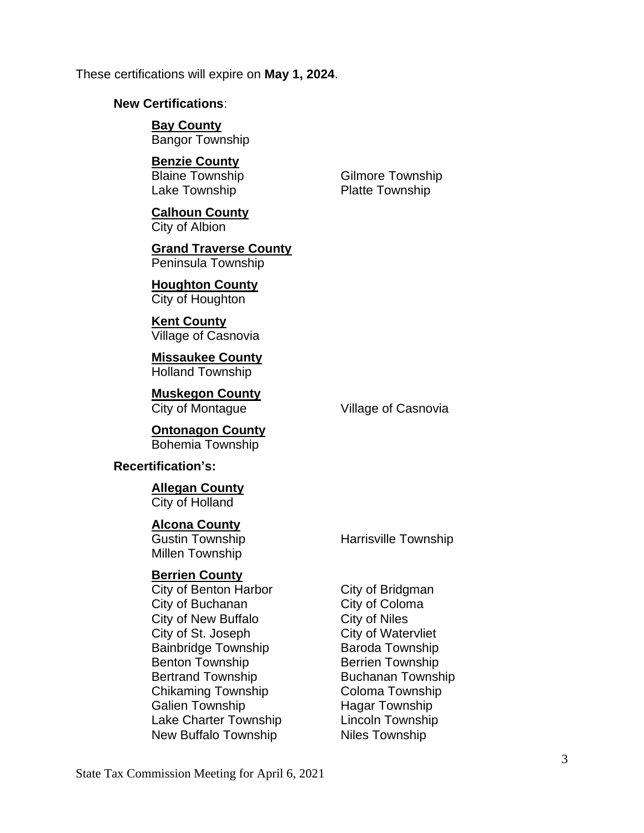These certifications will expire on **May 1, 2024**.

#### **New Certifications**:

**Bay County** Bangor Township

#### **Benzie County**

Blaine Township Gilmore Township Lake Township **Platte Township** 

**Calhoun County** City of Albion

**Grand Traverse County** Peninsula Township

**Houghton County** City of Houghton

**Kent County** Village of Casnovia

**Missaukee County** Holland Township

**Muskegon County**

City of Montague **Village of Casnovia** 

**Ontonagon County** Bohemia Township

#### **Recertification's:**

### **Allegan County**

City of Holland

#### **Alcona County**

Millen Township

#### **Berrien County**

City of Benton Harbor City of Bridgman City of Buchanan City of Coloma City of New Buffalo **City of Niles** City of St. Joseph City of Watervliet Bainbridge Township **Baroda Township** Benton Township Berrien Township Bertrand Township Buchanan Township Chikaming Township Coloma Township Galien Township Hagar Township Lake Charter Township Lincoln Township New Buffalo Township Niles Township

Gustin Township **Harrisville Township**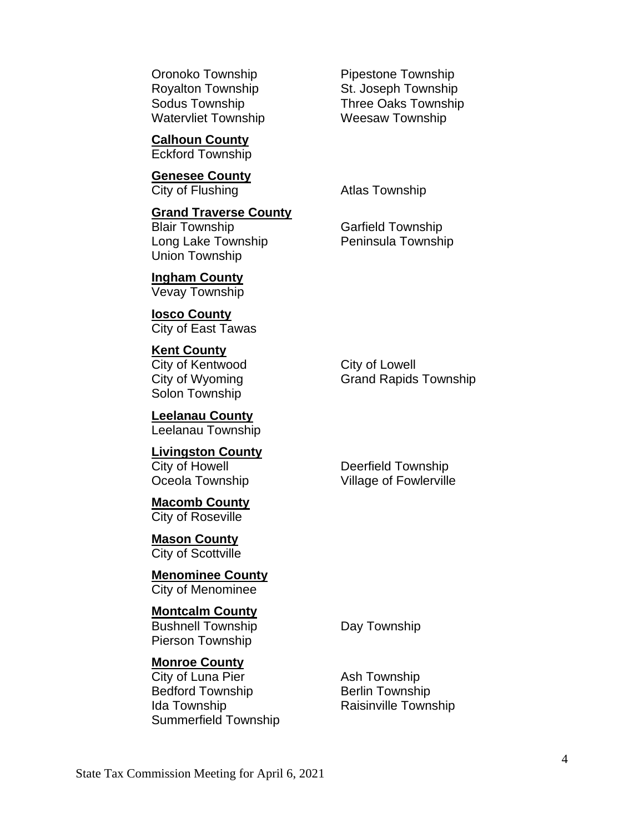Watervliet Township **Weesaw Township** 

**Calhoun County** Eckford Township

**Genesee County** City of Flushing **Atlas Township** 

**Grand Traverse County** Blair Township Garfield Township Long Lake Township **Peninsula Township** Union Township

**Ingham County** Vevay Township

**Iosco County** City of East Tawas

**Kent County** City of Kentwood City of Lowell Solon Township

**Leelanau County** Leelanau Township

**Livingston County** City of Howell **Deerfield Township** 

**Macomb County** City of Roseville

**Mason County** City of Scottville

**Menominee County** City of Menominee

**Montcalm County**

Bushnell Township **Day Township** Pierson Township

## **Monroe County**

City of Luna Pier **Ash Township** Bedford Township Berlin Township Ida Township **Raisinville Township** Summerfield Township

Oronoko Township **Pipestone Township** Royalton Township St. Joseph Township Sodus Township Three Oaks Township

City of Wyoming Grand Rapids Township

Oceola Township Village of Fowlerville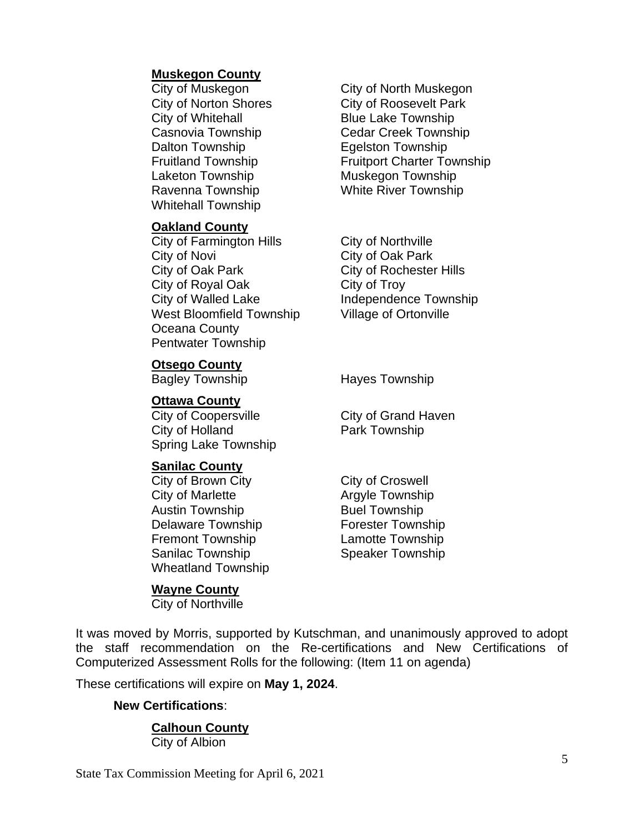### **Muskegon County**

City of Whitehall **Blue Lake Township** Dalton Township **Equality** Equipment Dalton Township Laketon Township Muskegon Township Ravenna Township White River Township Whitehall Township

#### **Oakland County**

City of Farmington Hills City of Northville City of Novi City of Oak Park City of Oak Park City of Rochester Hills City of Royal Oak City of Troy City of Walled Lake Independence Township West Bloomfield Township Village of Ortonville Oceana County Pentwater Township

City of Muskegon City of North Muskegon City of Norton Shores City of Roosevelt Park Casnovia Township Cedar Creek Township Fruitland Township Fruitport Charter Township

**Otsego County**

#### **Ottawa County**

City of Coopersville City of Grand Haven City of Holland **Park Township** Spring Lake Township

### **Sanilac County**

City of Brown City City City of Croswell City of Marlette **Argyle Township** Austin Township **Buel Township** Delaware Township **Forester Township** Fremont Township **Lamotte Township** Sanilac Township Speaker Township Wheatland Township

### **Wayne County**

City of Northville

Bagley Township **Hayes Township** 

It was moved by Morris, supported by Kutschman, and unanimously approved to adopt the staff recommendation on the Re-certifications and New Certifications of Computerized Assessment Rolls for the following: (Item 11 on agenda)

These certifications will expire on **May 1, 2024**.

### **New Certifications**:

## **Calhoun County**

City of Albion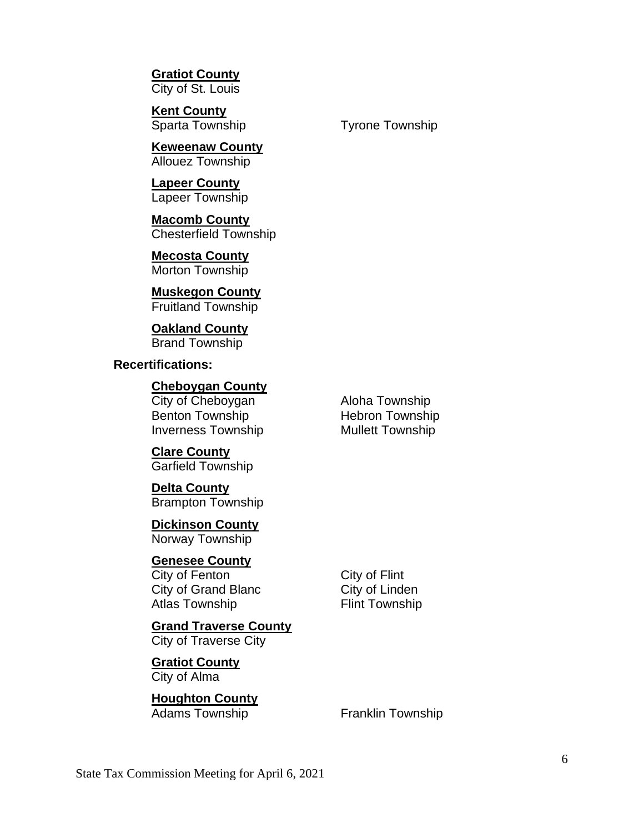**Gratiot County** City of St. Louis

**Kent County**

**Keweenaw County** Allouez Township

**Lapeer County** Lapeer Township

**Macomb County** Chesterfield Township

**Mecosta County** Morton Township

**Muskegon County** Fruitland Township

**Oakland County** Brand Township

**Recertifications:**

**Cheboygan County**

City of Cheboygan Aloha Township Benton Township Hebron Township Inverness Township Mullett Township

**Clare County** Garfield Township

**Delta County** Brampton Township

**Dickinson County** Norway Township

**Genesee County** City of Fenton City of Flint City of Grand Blanc City of Linden

Atlas Township Flint Township

**Grand Traverse County** City of Traverse City

**Gratiot County** City of Alma

**Houghton County** Adams Township Franklin Township

Sparta Township Tyrone Township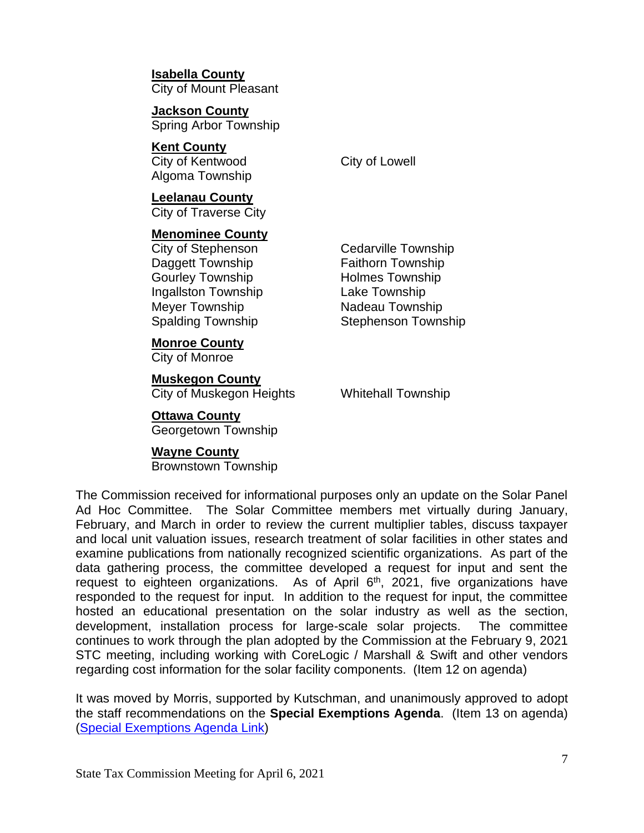**Isabella County** City of Mount Pleasant

**Jackson County** Spring Arbor Township

**Kent County** City of Kentwood City of Lowell Algoma Township

**Leelanau County** City of Traverse City

**Menominee County**

City of Stephenson Cedarville Township Daggett Township Faithorn Township Gourley Township **Holmes Township** Ingallston Township Lake Township Meyer Township Nadeau Township

**Monroe County**

City of Monroe

# **Muskegon County**

City of Muskegon Heights Whitehall Township

## **Ottawa County**

Georgetown Township

# **Wayne County**

Brownstown Township

Spalding Township Stephenson Township

The Commission received for informational purposes only an update on the Solar Panel Ad Hoc Committee. The Solar Committee members met virtually during January, February, and March in order to review the current multiplier tables, discuss taxpayer and local unit valuation issues, research treatment of solar facilities in other states and examine publications from nationally recognized scientific organizations. As part of the data gathering process, the committee developed a request for input and sent the request to eighteen organizations. As of April 6<sup>th</sup>, 2021, five organizations have responded to the request for input. In addition to the request for input, the committee hosted an educational presentation on the solar industry as well as the section, development, installation process for large-scale solar projects. The committee continues to work through the plan adopted by the Commission at the February 9, 2021 STC meeting, including working with CoreLogic / Marshall & Swift and other vendors regarding cost information for the solar facility components. (Item 12 on agenda)

It was moved by Morris, supported by Kutschman, and unanimously approved to adopt the staff recommendations on the **Special Exemptions Agenda**. (Item 13 on agenda) (Special [Exemptions Agenda Link\)](https://www.michigan.gov/documents/treasury/13_Exemptions_Special_Items_Agenda_720814_7.pdf)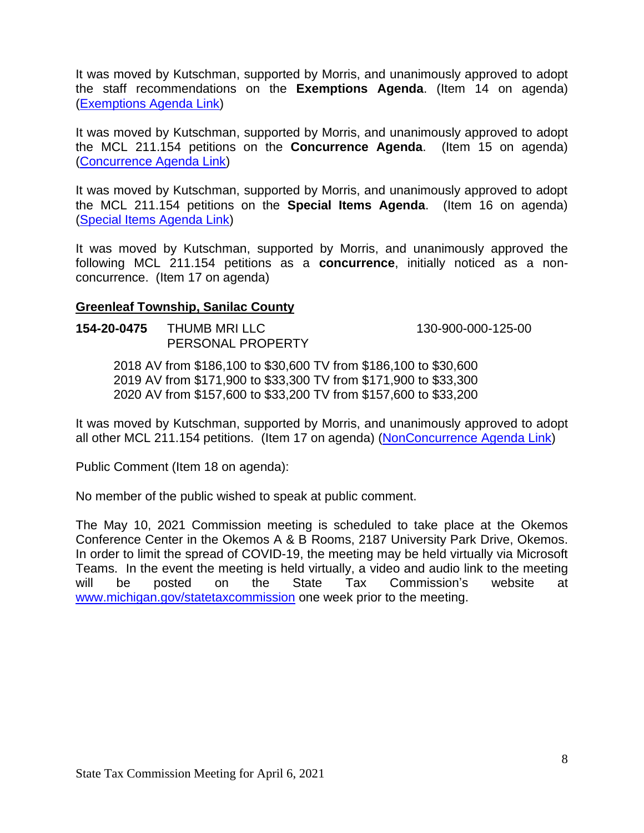It was moved by Kutschman, supported by Morris, and unanimously approved to adopt the staff recommendations on the **Exemptions Agenda**. (Item 14 on agenda) [\(Exemptions Agenda Link\)](https://www.michigan.gov/documents/treasury/14_Exemptions_Agenda_720815_7.pdf)

It was moved by Kutschman, supported by Morris, and unanimously approved to adopt the MCL 211.154 petitions on the **Concurrence Agenda**. (Item 15 on agenda) [\(Concurrence Agenda Link\)](https://www.michigan.gov/documents/treasury/15_Concurrence_Agenda_720816_7.pdf)

It was moved by Kutschman, supported by Morris, and unanimously approved to adopt the MCL 211.154 petitions on the **Special Items Agenda**. (Item 16 on agenda) [\(Special Items Agenda Link\)](https://www.michigan.gov/documents/treasury/16_154_Special_Items_Agenda_720818_7.pdf)

It was moved by Kutschman, supported by Morris, and unanimously approved the following MCL 211.154 petitions as a **concurrence**, initially noticed as a nonconcurrence. (Item 17 on agenda)

## **Greenleaf Township, Sanilac County**

**154-20-0475** THUMB MRI LLC 130-900-000-125-00 PERSONAL PROPERTY

2018 AV from \$186,100 to \$30,600 TV from \$186,100 to \$30,600 2019 AV from \$171,900 to \$33,300 TV from \$171,900 to \$33,300 2020 AV from \$157,600 to \$33,200 TV from \$157,600 to \$33,200

It was moved by Kutschman, supported by Morris, and unanimously approved to adopt all other MCL 211.154 petitions. (Item 17 on agenda) [\(NonConcurrence Agenda Link\)](https://www.michigan.gov/documents/treasury/Agenda_-_April_-_NonConcurrence_for_Minutes_721835_7.pdf)

Public Comment (Item 18 on agenda):

No member of the public wished to speak at public comment.

The May 10, 2021 Commission meeting is scheduled to take place at the Okemos Conference Center in the Okemos A & B Rooms, 2187 University Park Drive, Okemos. In order to limit the spread of COVID-19, the meeting may be held virtually via Microsoft Teams. In the event the meeting is held virtually, a video and audio link to the meeting will be posted on the State Tax Commission's website at [www.michigan.gov/statetaxcommission](http://www.michigan.gov/statetaxcommission) one week prior to the meeting.